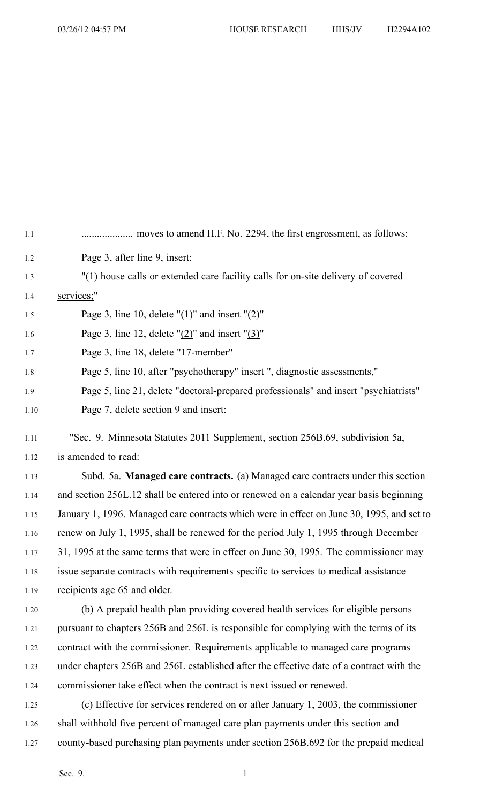| 1.1  |                                                                                           |
|------|-------------------------------------------------------------------------------------------|
| 1.2  | Page 3, after line 9, insert:                                                             |
| 1.3  | "(1) house calls or extended care facility calls for on-site delivery of covered          |
| 1.4  | services;"                                                                                |
| 1.5  | Page 3, line 10, delete " $(1)$ " and insert " $(2)$ "                                    |
| 1.6  | Page 3, line 12, delete " $(2)$ " and insert " $(3)$ "                                    |
| 1.7  | Page 3, line 18, delete "17-member"                                                       |
| 1.8  | Page 5, line 10, after "psychotherapy" insert ", diagnostic assessments,"                 |
| 1.9  | Page 5, line 21, delete "doctoral-prepared professionals" and insert "psychiatrists"      |
| 1.10 | Page 7, delete section 9 and insert:                                                      |
| 1.11 | "Sec. 9. Minnesota Statutes 2011 Supplement, section 256B.69, subdivision 5a,             |
| 1.12 | is amended to read:                                                                       |
| 1.13 | Subd. 5a. Managed care contracts. (a) Managed care contracts under this section           |
| 1.14 | and section 256L.12 shall be entered into or renewed on a calendar year basis beginning   |
| 1.15 | January 1, 1996. Managed care contracts which were in effect on June 30, 1995, and set to |
| 1.16 | renew on July 1, 1995, shall be renewed for the period July 1, 1995 through December      |
| 1.17 | 31, 1995 at the same terms that were in effect on June 30, 1995. The commissioner may     |
| 1.18 | issue separate contracts with requirements specific to services to medical assistance     |
| 1.19 | recipients age 65 and older.                                                              |
| 1.20 | (b) A prepaid health plan providing covered health services for eligible persons          |
| 1.21 | pursuant to chapters 256B and 256L is responsible for complying with the terms of its     |
| 1.22 | contract with the commissioner. Requirements applicable to managed care programs          |
| 1.23 | under chapters 256B and 256L established after the effective date of a contract with the  |
| 1.24 | commissioner take effect when the contract is next issued or renewed.                     |
| 1.25 | (c) Effective for services rendered on or after January 1, 2003, the commissioner         |
| 1.26 | shall withhold five percent of managed care plan payments under this section and          |
| 1.27 | county-based purchasing plan payments under section 256B.692 for the prepaid medical      |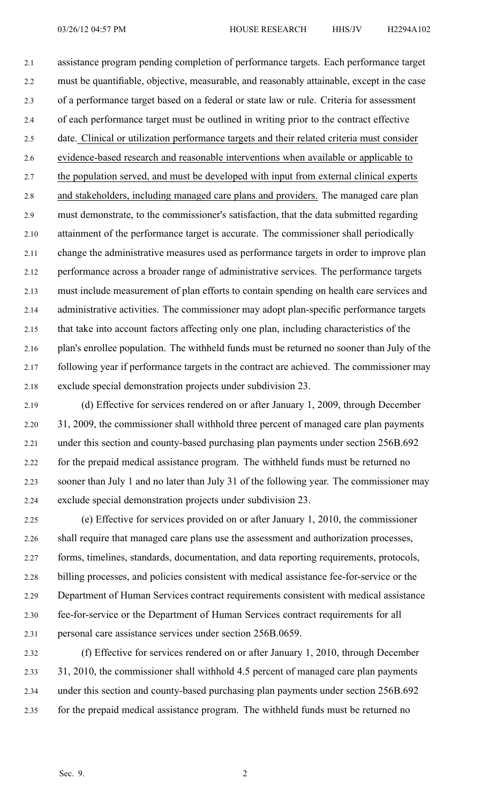2.1 assistance program pending completion of performance targets. Each performance target 2.2 must be quantifiable, objective, measurable, and reasonably attainable, excep<sup>t</sup> in the case 2.3 of <sup>a</sup> performance target based on <sup>a</sup> federal or state law or rule. Criteria for assessment 2.4 of each performance target must be outlined in writing prior to the contract effective 2.5 date. Clinical or utilization performance targets and their related criteria must consider 2.6 evidence-based research and reasonable interventions when available or applicable to 2.7 the population served, and must be developed with input from external clinical experts 2.8 and stakeholders, including managed care plans and providers. The managed care plan 2.9 must demonstrate, to the commissioner's satisfaction, that the data submitted regarding 2.10 attainment of the performance target is accurate. The commissioner shall periodically 2.11 change the administrative measures used as performance targets in order to improve plan 2.12 performance across <sup>a</sup> broader range of administrative services. The performance targets 2.13 must include measurement of plan efforts to contain spending on health care services and 2.14 administrative activities. The commissioner may adopt plan-specific performance targets 2.15 that take into account factors affecting only one plan, including characteristics of the 2.16 plan's enrollee population. The withheld funds must be returned no sooner than July of the 2.17 following year if performance targets in the contract are achieved. The commissioner may 2.18 exclude special demonstration projects under subdivision 23.

2.19 (d) Effective for services rendered on or after January 1, 2009, through December 2.20 31, 2009, the commissioner shall withhold three percen<sup>t</sup> of managed care plan payments 2.21 under this section and county-based purchasing plan payments under section 256B.692 2.22 for the prepaid medical assistance program. The withheld funds must be returned no 2.23 sooner than July 1 and no later than July 31 of the following year. The commissioner may 2.24 exclude special demonstration projects under subdivision 23.

2.25 (e) Effective for services provided on or after January 1, 2010, the commissioner 2.26 shall require that managed care plans use the assessment and authorization processes, 2.27 forms, timelines, standards, documentation, and data reporting requirements, protocols, 2.28 billing processes, and policies consistent with medical assistance fee-for-service or the 2.29 Department of Human Services contract requirements consistent with medical assistance 2.30 fee-for-service or the Department of Human Services contract requirements for all 2.31 personal care assistance services under section 256B.0659.

2.32 (f) Effective for services rendered on or after January 1, 2010, through December 2.33 31, 2010, the commissioner shall withhold 4.5 percen<sup>t</sup> of managed care plan payments 2.34 under this section and county-based purchasing plan payments under section 256B.692 2.35 for the prepaid medical assistance program. The withheld funds must be returned no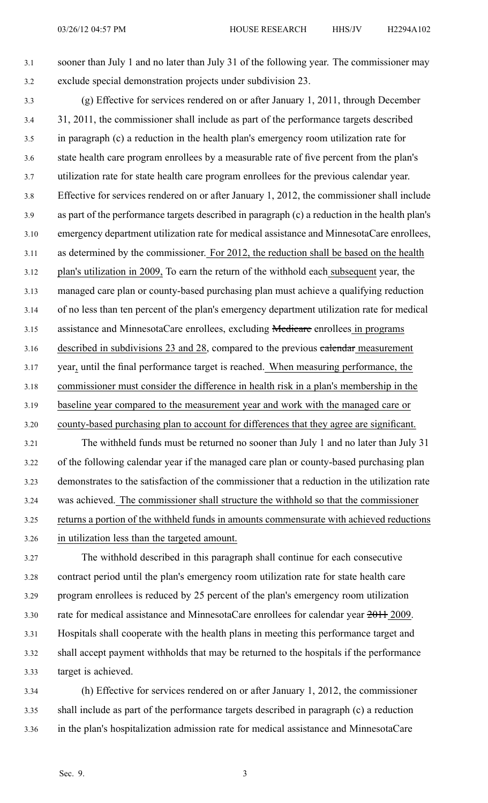3.1 sooner than July 1 and no later than July 31 of the following year. The commissioner may 3.2 exclude special demonstration projects under subdivision 23.

3.3 (g) Effective for services rendered on or after January 1, 2011, through December 3.4 31, 2011, the commissioner shall include as par<sup>t</sup> of the performance targets described 3.5 in paragraph (c) <sup>a</sup> reduction in the health plan's emergency room utilization rate for 3.6 state health care program enrollees by <sup>a</sup> measurable rate of five percen<sup>t</sup> from the plan's 3.7 utilization rate for state health care program enrollees for the previous calendar year. 3.8 Effective for services rendered on or after January 1, 2012, the commissioner shall include 3.9 as par<sup>t</sup> of the performance targets described in paragraph (c) <sup>a</sup> reduction in the health plan's 3.10 emergency department utilization rate for medical assistance and MinnesotaCare enrollees, 3.11 as determined by the commissioner. For 2012, the reduction shall be based on the health 3.12 plan's utilization in 2009, To earn the return of the withhold each subsequent year, the 3.13 managed care plan or county-based purchasing plan must achieve <sup>a</sup> qualifying reduction 3.14 of no less than ten percen<sup>t</sup> of the plan's emergency department utilization rate for medical 3.15 assistance and MinnesotaCare enrollees, excluding **Medicare** enrollees in programs 3.16 described in subdivisions 23 and 28, compared to the previous *calendar* measurement 3.17 year, until the final performance target is reached. When measuring performance, the 3.18 commissioner must consider the difference in health risk in <sup>a</sup> plan's membership in the 3.19 baseline year compared to the measurement year and work with the managed care or 3.20 county-based purchasing plan to account for differences that they agree are significant. 3.21 The withheld funds must be returned no sooner than July 1 and no later than July 31

3.22 of the following calendar year if the managed care plan or county-based purchasing plan 3.23 demonstrates to the satisfaction of the commissioner that <sup>a</sup> reduction in the utilization rate 3.24 was achieved. The commissioner shall structure the withhold so that the commissioner 3.25 returns <sup>a</sup> portion of the withheld funds in amounts commensurate with achieved reductions 3.26 in utilization less than the targeted amount.

3.27 The withhold described in this paragraph shall continue for each consecutive 3.28 contract period until the plan's emergency room utilization rate for state health care 3.29 program enrollees is reduced by 25 percen<sup>t</sup> of the plan's emergency room utilization 3.30 rate for medical assistance and MinnesotaCare enrollees for calendar year 2011 2009. 3.31 Hospitals shall cooperate with the health plans in meeting this performance target and 3.32 shall accep<sup>t</sup> paymen<sup>t</sup> withholds that may be returned to the hospitals if the performance 3.33 target is achieved.

3.34 (h) Effective for services rendered on or after January 1, 2012, the commissioner 3.35 shall include as par<sup>t</sup> of the performance targets described in paragraph (c) <sup>a</sup> reduction 3.36 in the plan's hospitalization admission rate for medical assistance and MinnesotaCare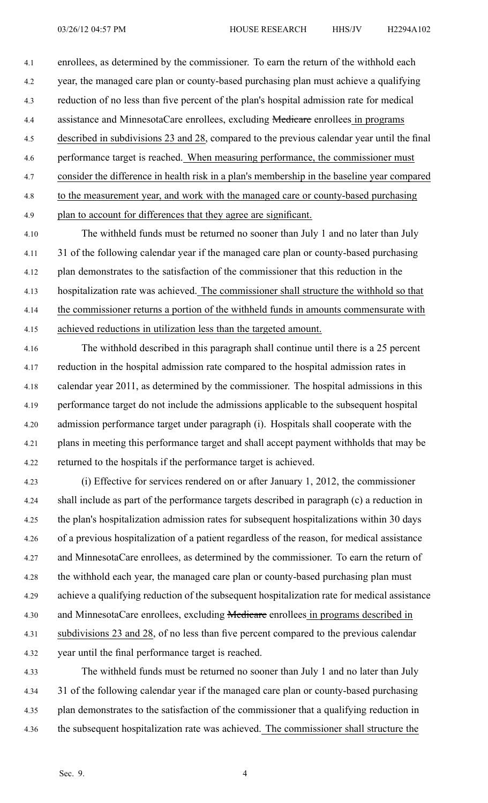4.1 enrollees, as determined by the commissioner. To earn the return of the withhold each 4.2 year, the managed care plan or county-based purchasing plan must achieve <sup>a</sup> qualifying 4.3 reduction of no less than five percen<sup>t</sup> of the plan's hospital admission rate for medical 4.4 assistance and MinnesotaCare enrollees, excluding Medicare enrollees in programs 4.5 described in subdivisions 23 and 28, compared to the previous calendar year until the final 4.6 performance target is reached. When measuring performance, the commissioner must 4.7 consider the difference in health risk in <sup>a</sup> plan's membership in the baseline year compared 4.8 to the measurement year, and work with the managed care or county-based purchasing 4.9 plan to account for differences that they agree are significant.

4.10 The withheld funds must be returned no sooner than July 1 and no later than July 4.11 31 of the following calendar year if the managed care plan or county-based purchasing 4.12 plan demonstrates to the satisfaction of the commissioner that this reduction in the 4.13 hospitalization rate was achieved. The commissioner shall structure the withhold so that 4.14 the commissioner returns <sup>a</sup> portion of the withheld funds in amounts commensurate with 4.15 achieved reductions in utilization less than the targeted amount.

4.16 The withhold described in this paragraph shall continue until there is <sup>a</sup> 25 percen<sup>t</sup> 4.17 reduction in the hospital admission rate compared to the hospital admission rates in 4.18 calendar year 2011, as determined by the commissioner. The hospital admissions in this 4.19 performance target do not include the admissions applicable to the subsequent hospital 4.20 admission performance target under paragraph (i). Hospitals shall cooperate with the 4.21 plans in meeting this performance target and shall accep<sup>t</sup> paymen<sup>t</sup> withholds that may be 4.22 returned to the hospitals if the performance target is achieved.

4.23 (i) Effective for services rendered on or after January 1, 2012, the commissioner 4.24 shall include as par<sup>t</sup> of the performance targets described in paragraph (c) <sup>a</sup> reduction in 4.25 the plan's hospitalization admission rates for subsequent hospitalizations within 30 days 4.26 of <sup>a</sup> previous hospitalization of <sup>a</sup> patient regardless of the reason, for medical assistance 4.27 and MinnesotaCare enrollees, as determined by the commissioner. To earn the return of 4.28 the withhold each year, the managed care plan or county-based purchasing plan must 4.29 achieve <sup>a</sup> qualifying reduction of the subsequent hospitalization rate for medical assistance 4.30 and MinnesotaCare enrollees, excluding Medicare enrollees in programs described in 4.31 subdivisions 23 and 28, of no less than five percent compared to the previous calendar 4.32 year until the final performance target is reached.

4.33 The withheld funds must be returned no sooner than July 1 and no later than July 4.34 31 of the following calendar year if the managed care plan or county-based purchasing 4.35 plan demonstrates to the satisfaction of the commissioner that <sup>a</sup> qualifying reduction in 4.36 the subsequent hospitalization rate was achieved. The commissioner shall structure the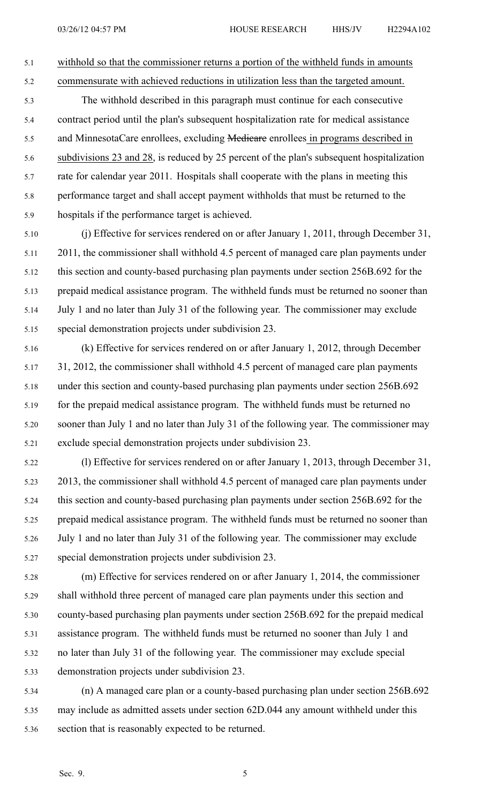5.1 withhold so that the commissioner returns <sup>a</sup> portion of the withheld funds in amounts

5.2 commensurate with achieved reductions in utilization less than the targeted amount.

5.3 The withhold described in this paragraph must continue for each consecutive 5.4 contract period until the plan's subsequent hospitalization rate for medical assistance 5.5 and MinnesotaCare enrollees, excluding Medicare enrollees in programs described in 5.6 subdivisions 23 and 28, is reduced by 25 percen<sup>t</sup> of the plan's subsequent hospitalization 5.7 rate for calendar year 2011. Hospitals shall cooperate with the plans in meeting this 5.8 performance target and shall accep<sup>t</sup> paymen<sup>t</sup> withholds that must be returned to the 5.9 hospitals if the performance target is achieved.

5.10 (j) Effective for services rendered on or after January 1, 2011, through December 31, 5.11 2011, the commissioner shall withhold 4.5 percen<sup>t</sup> of managed care plan payments under 5.12 this section and county-based purchasing plan payments under section 256B.692 for the 5.13 prepaid medical assistance program. The withheld funds must be returned no sooner than 5.14 July 1 and no later than July 31 of the following year. The commissioner may exclude 5.15 special demonstration projects under subdivision 23.

5.16 (k) Effective for services rendered on or after January 1, 2012, through December 5.17 31, 2012, the commissioner shall withhold 4.5 percen<sup>t</sup> of managed care plan payments 5.18 under this section and county-based purchasing plan payments under section 256B.692 5.19 for the prepaid medical assistance program. The withheld funds must be returned no 5.20 sooner than July 1 and no later than July 31 of the following year. The commissioner may 5.21 exclude special demonstration projects under subdivision 23.

5.22 (l) Effective for services rendered on or after January 1, 2013, through December 31, 5.23 2013, the commissioner shall withhold 4.5 percen<sup>t</sup> of managed care plan payments under 5.24 this section and county-based purchasing plan payments under section 256B.692 for the 5.25 prepaid medical assistance program. The withheld funds must be returned no sooner than 5.26 July 1 and no later than July 31 of the following year. The commissioner may exclude 5.27 special demonstration projects under subdivision 23.

5.28 (m) Effective for services rendered on or after January 1, 2014, the commissioner 5.29 shall withhold three percen<sup>t</sup> of managed care plan payments under this section and 5.30 county-based purchasing plan payments under section 256B.692 for the prepaid medical 5.31 assistance program. The withheld funds must be returned no sooner than July 1 and 5.32 no later than July 31 of the following year. The commissioner may exclude special 5.33 demonstration projects under subdivision 23.

5.34 (n) A managed care plan or <sup>a</sup> county-based purchasing plan under section 256B.692 5.35 may include as admitted assets under section 62D.044 any amount withheld under this 5.36 section that is reasonably expected to be returned.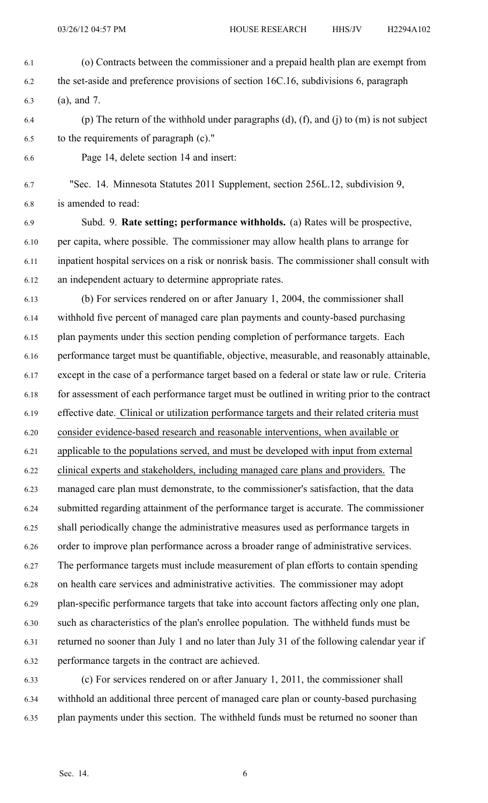6.1 (o) Contracts between the commissioner and <sup>a</sup> prepaid health plan are exemp<sup>t</sup> from 6.2 the set-aside and preference provisions of section 16C.16, subdivisions 6, paragraph 6.3 (a), and 7. 6.4 (p) The return of the withhold under paragraphs  $(d)$ ,  $(f)$ , and  $(j)$  to  $(m)$  is not subject 6.5 to the requirements of paragraph (c)."

6.6 Page 14, delete section 14 and insert:

6.7 "Sec. 14. Minnesota Statutes 2011 Supplement, section 256L.12, subdivision 9, 6.8 is amended to read:

6.9 Subd. 9. **Rate setting; performance withholds.** (a) Rates will be prospective, 6.10 per capita, where possible. The commissioner may allow health plans to arrange for 6.11 inpatient hospital services on <sup>a</sup> risk or nonrisk basis. The commissioner shall consult with 6.12 an independent actuary to determine appropriate rates.

6.13 (b) For services rendered on or after January 1, 2004, the commissioner shall 6.14 withhold five percen<sup>t</sup> of managed care plan payments and county-based purchasing 6.15 plan payments under this section pending completion of performance targets. Each 6.16 performance target must be quantifiable, objective, measurable, and reasonably attainable, 6.17 excep<sup>t</sup> in the case of <sup>a</sup> performance target based on <sup>a</sup> federal or state law or rule. Criteria 6.18 for assessment of each performance target must be outlined in writing prior to the contract 6.19 effective date. Clinical or utilization performance targets and their related criteria must 6.20 consider evidence-based research and reasonable interventions, when available or 6.21 applicable to the populations served, and must be developed with input from external 6.22 clinical experts and stakeholders, including managed care plans and providers. The 6.23 managed care plan must demonstrate, to the commissioner's satisfaction, that the data 6.24 submitted regarding attainment of the performance target is accurate. The commissioner 6.25 shall periodically change the administrative measures used as performance targets in 6.26 order to improve plan performance across <sup>a</sup> broader range of administrative services. 6.27 The performance targets must include measurement of plan efforts to contain spending 6.28 on health care services and administrative activities. The commissioner may adopt 6.29 plan-specific performance targets that take into account factors affecting only one plan, 6.30 such as characteristics of the plan's enrollee population. The withheld funds must be 6.31 returned no sooner than July 1 and no later than July 31 of the following calendar year if 6.32 performance targets in the contract are achieved.

6.33 (c) For services rendered on or after January 1, 2011, the commissioner shall 6.34 withhold an additional three percen<sup>t</sup> of managed care plan or county-based purchasing 6.35 plan payments under this section. The withheld funds must be returned no sooner than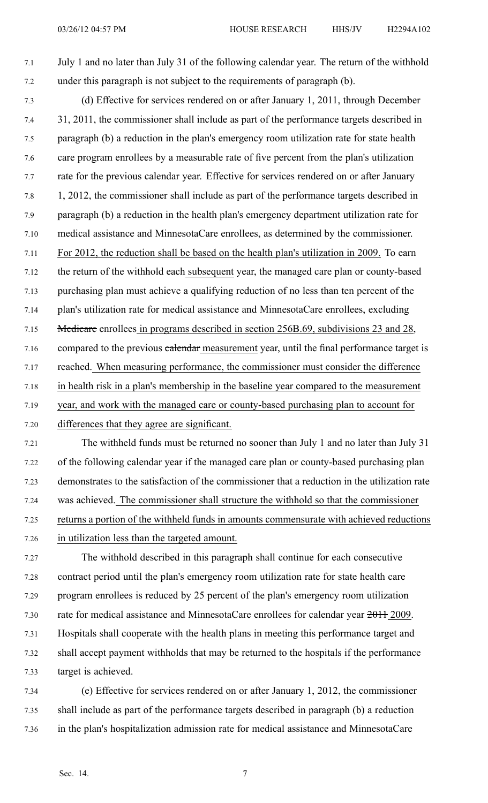7.1 July 1 and no later than July 31 of the following calendar year. The return of the withhold 7.2 under this paragraph is not subject to the requirements of paragraph (b).

7.3 (d) Effective for services rendered on or after January 1, 2011, through December 7.4 31, 2011, the commissioner shall include as par<sup>t</sup> of the performance targets described in 7.5 paragraph (b) <sup>a</sup> reduction in the plan's emergency room utilization rate for state health 7.6 care program enrollees by <sup>a</sup> measurable rate of five percen<sup>t</sup> from the plan's utilization 7.7 rate for the previous calendar year. Effective for services rendered on or after January 7.8 1, 2012, the commissioner shall include as par<sup>t</sup> of the performance targets described in 7.9 paragraph (b) <sup>a</sup> reduction in the health plan's emergency department utilization rate for 7.10 medical assistance and MinnesotaCare enrollees, as determined by the commissioner. 7.11 For 2012, the reduction shall be based on the health plan's utilization in 2009. To earn 7.12 the return of the withhold each subsequent year, the managed care plan or county-based 7.13 purchasing plan must achieve <sup>a</sup> qualifying reduction of no less than ten percen<sup>t</sup> of the 7.14 plan's utilization rate for medical assistance and MinnesotaCare enrollees, excluding 7.15 Medicare enrollees in programs described in section 256B.69, subdivisions 23 and 28, 7.16 compared to the previous *calendar* measurement year, until the final performance target is 7.17 reached. When measuring performance, the commissioner must consider the difference 7.18 in health risk in <sup>a</sup> plan's membership in the baseline year compared to the measurement 7.19 year, and work with the managed care or county-based purchasing plan to account for 7.20 differences that they agree are significant.

7.21 The withheld funds must be returned no sooner than July 1 and no later than July 31 7.22 of the following calendar year if the managed care plan or county-based purchasing plan 7.23 demonstrates to the satisfaction of the commissioner that <sup>a</sup> reduction in the utilization rate 7.24 was achieved. The commissioner shall structure the withhold so that the commissioner 7.25 returns <sup>a</sup> portion of the withheld funds in amounts commensurate with achieved reductions 7.26 in utilization less than the targeted amount.

7.27 The withhold described in this paragraph shall continue for each consecutive 7.28 contract period until the plan's emergency room utilization rate for state health care 7.29 program enrollees is reduced by 25 percen<sup>t</sup> of the plan's emergency room utilization 7.30 rate for medical assistance and MinnesotaCare enrollees for calendar year  $2011$  2009. 7.31 Hospitals shall cooperate with the health plans in meeting this performance target and 7.32 shall accep<sup>t</sup> paymen<sup>t</sup> withholds that may be returned to the hospitals if the performance 7.33 target is achieved.

7.34 (e) Effective for services rendered on or after January 1, 2012, the commissioner 7.35 shall include as par<sup>t</sup> of the performance targets described in paragraph (b) <sup>a</sup> reduction 7.36 in the plan's hospitalization admission rate for medical assistance and MinnesotaCare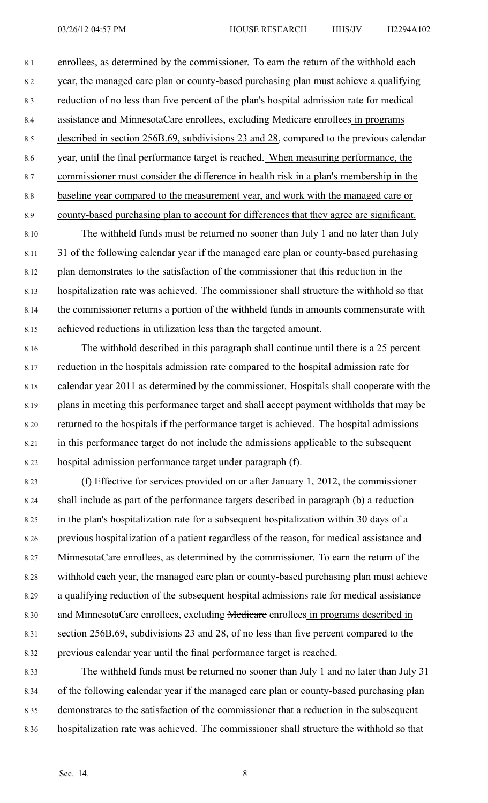8.1 enrollees, as determined by the commissioner. To earn the return of the withhold each 8.2 year, the managed care plan or county-based purchasing plan must achieve <sup>a</sup> qualifying 8.3 reduction of no less than five percen<sup>t</sup> of the plan's hospital admission rate for medical 8.4 assistance and MinnesotaCare enrollees, excluding **Medicare** enrollees in programs 8.5 described in section 256B.69, subdivisions 23 and 28, compared to the previous calendar 8.6 year, until the final performance target is reached. When measuring performance, the 8.7 commissioner must consider the difference in health risk in <sup>a</sup> plan's membership in the 8.8 baseline year compared to the measurement year, and work with the managed care or 8.9 county-based purchasing plan to account for differences that they agree are significant.

8.10 The withheld funds must be returned no sooner than July 1 and no later than July 8.11 31 of the following calendar year if the managed care plan or county-based purchasing 8.12 plan demonstrates to the satisfaction of the commissioner that this reduction in the 8.13 hospitalization rate was achieved. The commissioner shall structure the withhold so that 8.14 the commissioner returns <sup>a</sup> portion of the withheld funds in amounts commensurate with 8.15 achieved reductions in utilization less than the targeted amount.

8.16 The withhold described in this paragraph shall continue until there is <sup>a</sup> 25 percen<sup>t</sup> 8.17 reduction in the hospitals admission rate compared to the hospital admission rate for 8.18 calendar year 2011 as determined by the commissioner. Hospitals shall cooperate with the 8.19 plans in meeting this performance target and shall accep<sup>t</sup> paymen<sup>t</sup> withholds that may be 8.20 returned to the hospitals if the performance target is achieved. The hospital admissions 8.21 in this performance target do not include the admissions applicable to the subsequent 8.22 hospital admission performance target under paragraph (f).

8.23 (f) Effective for services provided on or after January 1, 2012, the commissioner 8.24 shall include as par<sup>t</sup> of the performance targets described in paragraph (b) <sup>a</sup> reduction 8.25 in the plan's hospitalization rate for <sup>a</sup> subsequent hospitalization within 30 days of <sup>a</sup> 8.26 previous hospitalization of <sup>a</sup> patient regardless of the reason, for medical assistance and 8.27 MinnesotaCare enrollees, as determined by the commissioner. To earn the return of the 8.28 withhold each year, the managed care plan or county-based purchasing plan must achieve 8.29 <sup>a</sup> qualifying reduction of the subsequent hospital admissions rate for medical assistance 8.30 and MinnesotaCare enrollees, excluding Medicare enrollees in programs described in 8.31 section 256B.69, subdivisions 23 and 28, of no less than five percen<sup>t</sup> compared to the 8.32 previous calendar year until the final performance target is reached.

8.33 The withheld funds must be returned no sooner than July 1 and no later than July 31 8.34 of the following calendar year if the managed care plan or county-based purchasing plan 8.35 demonstrates to the satisfaction of the commissioner that <sup>a</sup> reduction in the subsequent 8.36 hospitalization rate was achieved. The commissioner shall structure the withhold so that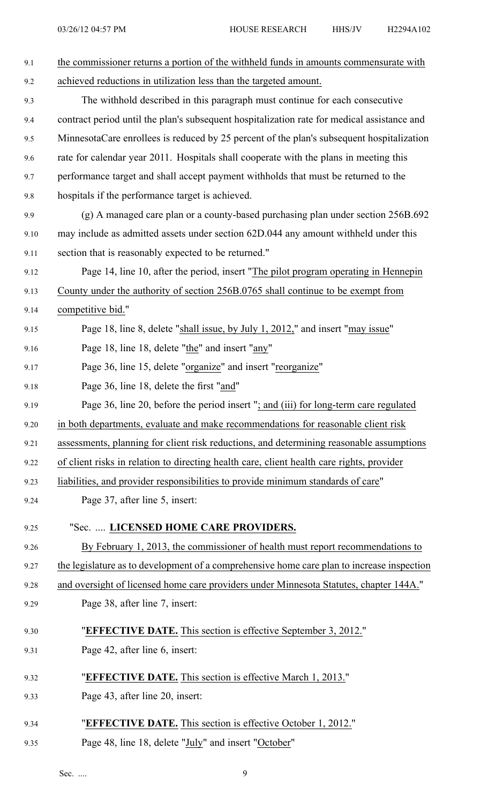| 9.1  | the commissioner returns a portion of the withheld funds in amounts commensurate with       |
|------|---------------------------------------------------------------------------------------------|
| 9.2  | achieved reductions in utilization less than the targeted amount.                           |
| 9.3  | The withhold described in this paragraph must continue for each consecutive                 |
| 9.4  | contract period until the plan's subsequent hospitalization rate for medical assistance and |
| 9.5  | MinnesotaCare enrollees is reduced by 25 percent of the plan's subsequent hospitalization   |
| 9.6  | rate for calendar year 2011. Hospitals shall cooperate with the plans in meeting this       |
| 9.7  | performance target and shall accept payment withholds that must be returned to the          |
| 9.8  | hospitals if the performance target is achieved.                                            |
| 9.9  | (g) A managed care plan or a county-based purchasing plan under section 256B.692            |
| 9.10 | may include as admitted assets under section 62D.044 any amount withheld under this         |
| 9.11 | section that is reasonably expected to be returned."                                        |
| 9.12 | Page 14, line 10, after the period, insert "The pilot program operating in Hennepin         |
| 9.13 | County under the authority of section 256B.0765 shall continue to be exempt from            |
| 9.14 | competitive bid."                                                                           |
| 9.15 | Page 18, line 8, delete "shall issue, by July 1, 2012," and insert "may issue"              |
| 9.16 | Page 18, line 18, delete "the" and insert "any"                                             |
| 9.17 | Page 36, line 15, delete "organize" and insert "reorganize"                                 |
| 9.18 | Page 36, line 18, delete the first "and"                                                    |
| 9.19 | Page 36, line 20, before the period insert "; and (iii) for long-term care regulated        |
| 9.20 | in both departments, evaluate and make recommendations for reasonable client risk           |
| 9.21 | assessments, planning for client risk reductions, and determining reasonable assumptions    |
| 9.22 | of client risks in relation to directing health care, client health care rights, provider   |
| 9.23 | liabilities, and provider responsibilities to provide minimum standards of care"            |
| 9.24 | Page 37, after line 5, insert:                                                              |
| 9.25 | "Sec.  LICENSED HOME CARE PROVIDERS.                                                        |
| 9.26 | By February 1, 2013, the commissioner of health must report recommendations to              |
| 9.27 | the legislature as to development of a comprehensive home care plan to increase inspection  |
| 9.28 | and oversight of licensed home care providers under Minnesota Statutes, chapter 144A."      |
| 9.29 | Page 38, after line 7, insert:                                                              |
| 9.30 | "EFFECTIVE DATE. This section is effective September 3, 2012."                              |
| 9.31 | Page 42, after line 6, insert:                                                              |
| 9.32 | "EFFECTIVE DATE. This section is effective March 1, 2013."                                  |
| 9.33 | Page 43, after line 20, insert:                                                             |
| 9.34 | "EFFECTIVE DATE. This section is effective October 1, 2012."                                |
| 9.35 | Page 48, line 18, delete "July" and insert "October"                                        |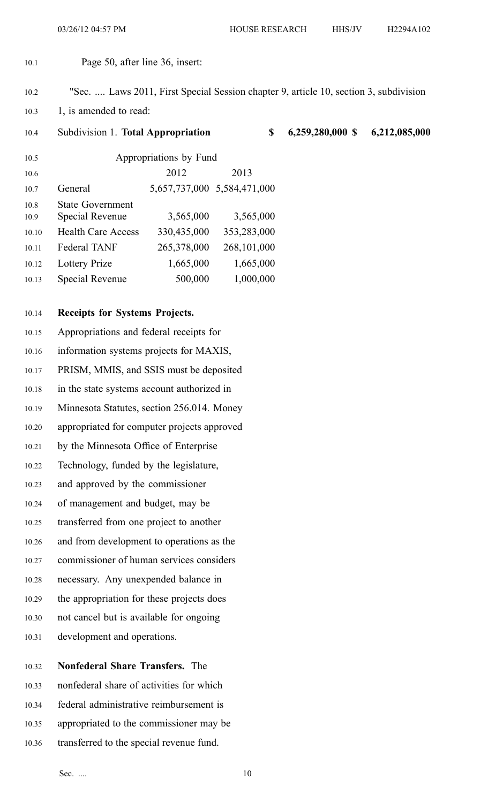- 10.1 Page 50, after line 36, insert:
- 10.2 "Sec. .... Laws 2011, First Special Session chapter 9, article 10, section 3, subdivision
- 10.3 1, is amended to read:

10.4 Subdivision 1. **Total Appropriation \$ 6,259,280,000 \$ 6,212,085,000** 10.5 Appropriations by Fund 10.6 2012 2013 10.7 General 5,657,737,000 5,584,471,000 10.8 State Government 10.9 Special Revenue 3,565,000 3,565,000 10.10 Health Care Access 330,435,000 353,283,000 10.11 Federal TANF 265,378,000 268,101,000 10.12 Lottery Prize 1,665,000 1,665,000 10.13 Special Revenue 500,000 1,000,000

## 10.14 **Receipts for Systems Projects.**

- 10.15 Appropriations and federal receipts for 10.16 information systems projects for MAXIS, 10.17 PRISM, MMIS, and SSIS must be deposited 10.18 in the state systems account authorized in 10.19 Minnesota Statutes, section 256.014. Money 10.20 appropriated for computer projects approved 10.21 by the Minnesota Office of Enterprise 10.22 Technology, funded by the legislature, 10.23 and approved by the commissioner 10.24 of managemen<sup>t</sup> and budget, may be 10.25 transferred from one project to another 10.26 and from development to operations as the 10.27 commissioner of human services considers 10.28 necessary. Any unexpended balance in 10.29 the appropriation for these projects does 10.30 not cancel but is available for ongoing 10.31 development and operations.
- 10.33 nonfederal share of activities for which

10.32 **Nonfederal Share Transfers.** The

- 10.34 federal administrative reimbursement is
- 10.35 appropriated to the commissioner may be
- 10.36 transferred to the special revenue fund.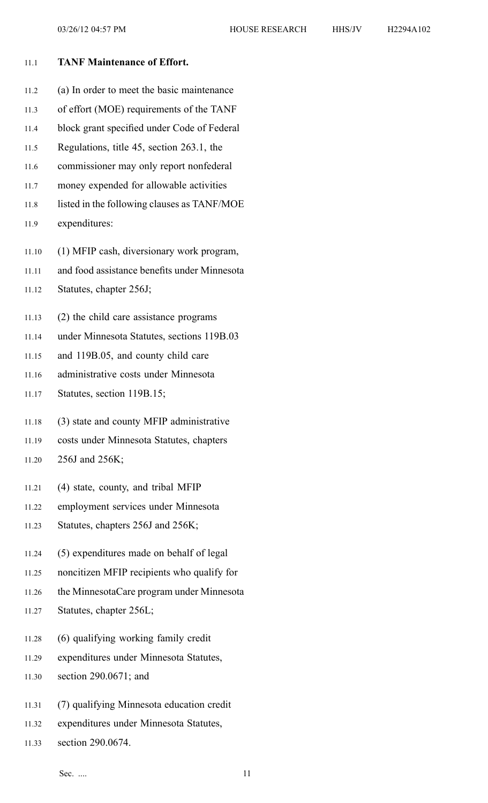| 11.1  | <b>TANF Maintenance of Effort.</b>           |
|-------|----------------------------------------------|
| 11.2  | (a) In order to meet the basic maintenance   |
| 11.3  | of effort (MOE) requirements of the TANF     |
| 11.4  | block grant specified under Code of Federal  |
| 11.5  | Regulations, title 45, section 263.1, the    |
| 11.6  | commissioner may only report nonfederal      |
| 11.7  | money expended for allowable activities      |
| 11.8  | listed in the following clauses as TANF/MOE  |
| 11.9  | expenditures:                                |
| 11.10 | (1) MFIP cash, diversionary work program,    |
| 11.11 | and food assistance benefits under Minnesota |
| 11.12 | Statutes, chapter 256J;                      |
| 11.13 | (2) the child care assistance programs       |
| 11.14 | under Minnesota Statutes, sections 119B.03   |
| 11.15 | and 119B.05, and county child care           |
| 11.16 | administrative costs under Minnesota         |
| 11.17 | Statutes, section 119B.15;                   |
| 11.18 | (3) state and county MFIP administrative     |
| 11.19 | costs under Minnesota Statutes, chapters     |
| 11.20 | 256J and 256K;                               |
| 11.21 | (4) state, county, and tribal MFIP           |
| 11.22 | employment services under Minnesota          |
| 11.23 | Statutes, chapters 256J and 256K;            |
| 11.24 | (5) expenditures made on behalf of legal     |
| 11.25 | noncitizen MFIP recipients who qualify for   |
| 11.26 | the MinnesotaCare program under Minnesota    |
| 11.27 | Statutes, chapter 256L;                      |
| 11.28 | (6) qualifying working family credit         |
| 11.29 | expenditures under Minnesota Statutes,       |
| 11.30 | section $290.0671$ ; and                     |
| 11.31 | (7) qualifying Minnesota education credit    |
| 11.32 | expenditures under Minnesota Statutes,       |

11.33 section 290.0674.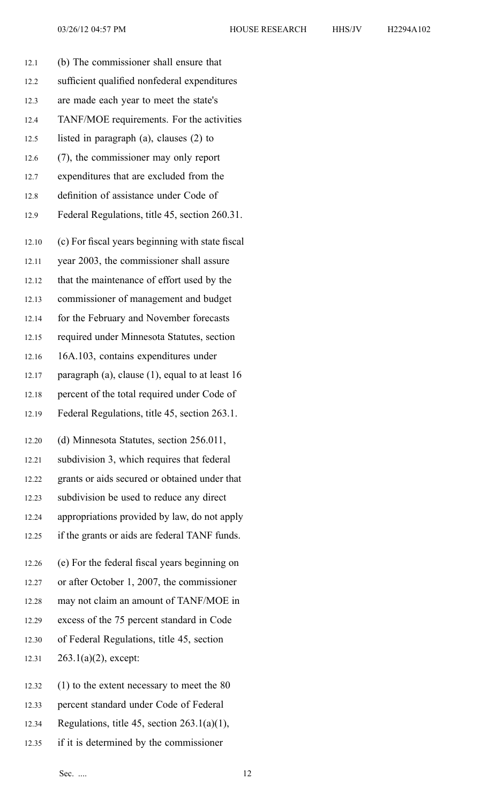|  | H2294A102 |
|--|-----------|
|  |           |

| 12.1  | (b) The commissioner shall ensure that             |
|-------|----------------------------------------------------|
| 12.2  | sufficient qualified nonfederal expenditures       |
| 12.3  | are made each year to meet the state's             |
| 12.4  | TANF/MOE requirements. For the activities          |
| 12.5  | listed in paragraph $(a)$ , clauses $(2)$ to       |
| 12.6  | (7), the commissioner may only report              |
| 12.7  | expenditures that are excluded from the            |
| 12.8  | definition of assistance under Code of             |
| 12.9  | Federal Regulations, title 45, section 260.31.     |
| 12.10 | (c) For fiscal years beginning with state fiscal   |
| 12.11 | year 2003, the commissioner shall assure           |
| 12.12 | that the maintenance of effort used by the         |
| 12.13 | commissioner of management and budget              |
| 12.14 | for the February and November forecasts            |
| 12.15 | required under Minnesota Statutes, section         |
| 12.16 | 16A.103, contains expenditures under               |
| 12.17 | paragraph (a), clause $(1)$ , equal to at least 16 |
| 12.18 | percent of the total required under Code of        |
| 12.19 | Federal Regulations, title 45, section 263.1.      |
| 12.20 | (d) Minnesota Statutes, section 256.011,           |
| 12.21 | subdivision 3, which requires that federal         |
| 12.22 | grants or aids secured or obtained under that      |
| 12.23 | subdivision be used to reduce any direct           |
| 12.24 | appropriations provided by law, do not apply       |
| 12.25 | if the grants or aids are federal TANF funds.      |
| 12.26 | (e) For the federal fiscal years beginning on      |
| 12.27 | or after October 1, 2007, the commissioner         |
| 12.28 | may not claim an amount of TANF/MOE in             |
| 12.29 | excess of the 75 percent standard in Code          |
| 12.30 | of Federal Regulations, title 45, section          |
| 12.31 | $263.1(a)(2)$ , except:                            |
| 12.32 | $(1)$ to the extent necessary to meet the 80       |
| 12.33 | percent standard under Code of Federal             |

- 12.34 Regulations, title 45, section  $263.1(a)(1)$ ,
- 12.35 if it is determined by the commissioner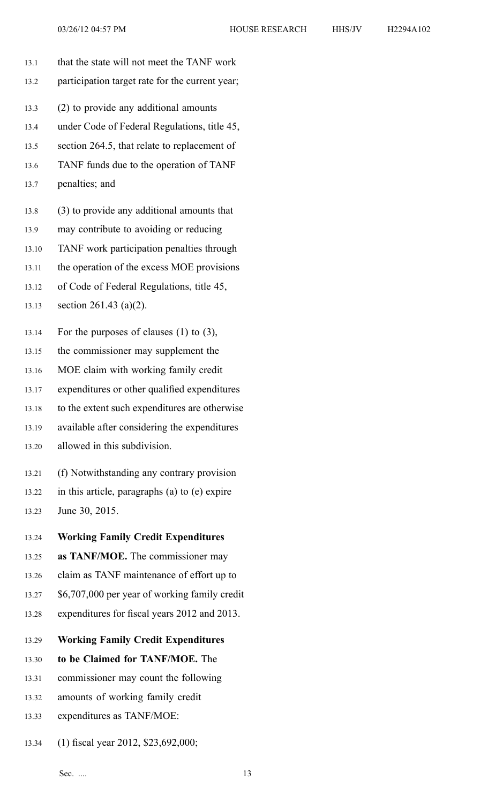- 13.1 that the state will not meet the TANF work 13.2 participation target rate for the current year; 13.3 (2) to provide any additional amounts 13.4 under Code of Federal Regulations, title 45, 13.5 section 264.5, that relate to replacement of 13.6 TANF funds due to the operation of TANF 13.7 penalties; and 13.8 (3) to provide any additional amounts that 13.9 may contribute to avoiding or reducing 13.10 TANF work participation penalties through 13.11 the operation of the excess MOE provisions 13.12 of Code of Federal Regulations, title 45, 13.13 section 261.43 (a)(2). 13.14 For the purposes of clauses (1) to (3), 13.15 the commissioner may supplement the 13.16 MOE claim with working family credit 13.17 expenditures or other qualified expenditures 13.18 to the extent such expenditures are otherwise 13.19 available after considering the expenditures 13.20 allowed in this subdivision.
	- 13.21 (f) Notwithstanding any contrary provision
	- 13.22 in this article, paragraphs (a) to (e) expire
	- 13.23 June 30, 2015.
	- 13.24 **Working Family Credit Expenditures**
	- 13.25 **as TANF/MOE.** The commissioner may
	- 13.26 claim as TANF maintenance of effort up to
	- 13.27 \$6,707,000 per year of working family credit
	- 13.28 expenditures for fiscal years 2012 and 2013.
	- 13.29 **Working Family Credit Expenditures**
	- 13.30 **to be Claimed for TANF/MOE.** The
	- 13.31 commissioner may count the following
	- 13.32 amounts of working family credit
	- 13.33 expenditures as TANF/MOE:
	- 13.34 (1) fiscal year 2012, \$23,692,000;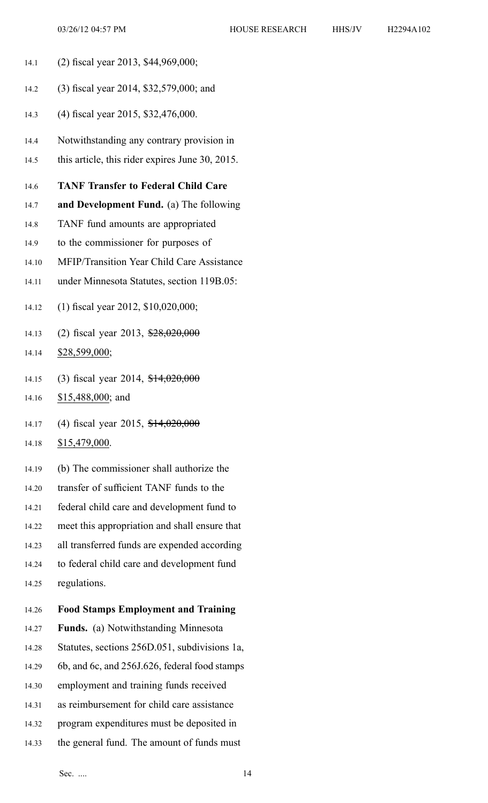- 14.1 (2) fiscal year 2013, \$44,969,000;
- 14.2 (3) fiscal year 2014, \$32,579,000; and
- 14.3 (4) fiscal year 2015, \$32,476,000.
- 14.4 Notwithstanding any contrary provision in
- 14.5 this article, this rider expires June 30, 2015.

## 14.6 **TANF Transfer to Federal Child Care**

- 14.7 **and Development Fund.** (a) The following
- 14.8 TANF fund amounts are appropriated
- 14.9 to the commissioner for purposes of
- 14.10 MFIP/Transition Year Child Care Assistance
- 14.11 under Minnesota Statutes, section 119B.05:
- 14.12 (1) fiscal year 2012, \$10,020,000;
- 14.13 (2) fiscal year 2013,  $\frac{28,020,000}{20,000}$
- 14.14 \$28,599,000;
- 14.15 (3) fiscal year 2014, \$14,020,000
- 14.16 \$15,488,000; and
- 14.17 (4) fiscal year 2015, \$14,020,000
- 14.18 \$15,479,000.
- 14.19 (b) The commissioner shall authorize the
- 14.20 transfer of sufficient TANF funds to the
- 14.21 federal child care and development fund to
- 14.22 meet this appropriation and shall ensure that
- 14.23 all transferred funds are expended according
- 14.24 to federal child care and development fund
- 14.25 regulations.
- 14.26 **Food Stamps Employment and Training**
- 14.27 **Funds.** (a) Notwithstanding Minnesota
- 14.28 Statutes, sections 256D.051, subdivisions 1a,
- 14.29 6b, and 6c, and 256J.626, federal food stamps
- 14.30 employment and training funds received
- 14.31 as reimbursement for child care assistance
- 14.32 program expenditures must be deposited in
- 14.33 the general fund. The amount of funds must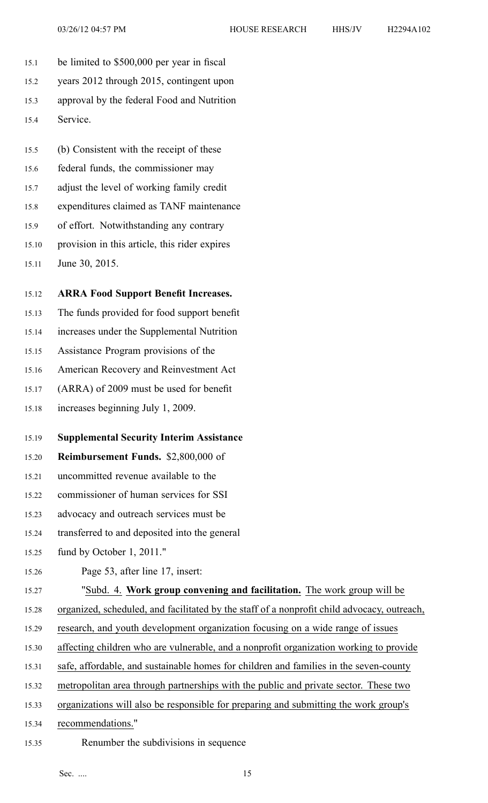- 15.1 be limited to \$500,000 per year in fiscal
- 15.2 years 2012 through 2015, contingent upon
- 15.3 approval by the federal Food and Nutrition
- 15.4 Service.
- 15.5 (b) Consistent with the receipt of these
- 15.6 federal funds, the commissioner may
- 15.7 adjust the level of working family credit
- 15.8 expenditures claimed as TANF maintenance
- 15.9 of effort. Notwithstanding any contrary
- 15.10 provision in this article, this rider expires
- 15.11 June 30, 2015.
- 15.12 **ARRA Food Support Benefit Increases.**
- 15.13 The funds provided for food suppor<sup>t</sup> benefit
- 15.14 increases under the Supplemental Nutrition
- 15.15 Assistance Program provisions of the
- 15.16 American Recovery and Reinvestment Act
- 15.17 (ARRA) of 2009 must be used for benefit
- 15.18 increases beginning July 1, 2009.
- 15.19 **Supplemental Security Interim Assistance**
- 15.20 **Reimbursement Funds.** \$2,800,000 of
- 15.21 uncommitted revenue available to the
- 15.22 commissioner of human services for SSI
- 15.23 advocacy and outreach services must be
- 15.24 transferred to and deposited into the general
- 15.25 fund by October 1, 2011."
- 15.26 Page 53, after line 17, insert:
- 15.27 "Subd. 4. **Work group convening and facilitation.** The work group will be
- 15.28 organized, scheduled, and facilitated by the staff of <sup>a</sup> nonprofit child advocacy, outreach,
- 15.29 research, and youth development organization focusing on <sup>a</sup> wide range of issues
- 15.30 affecting children who are vulnerable, and <sup>a</sup> nonprofit organization working to provide
- 15.31 safe, affordable, and sustainable homes for children and families in the seven-county
- 15.32 metropolitan area through partnerships with the public and private sector. These two
- 15.33 organizations will also be responsible for preparing and submitting the work group's
- 15.34 recommendations."
- 15.35 Renumber the subdivisions in sequence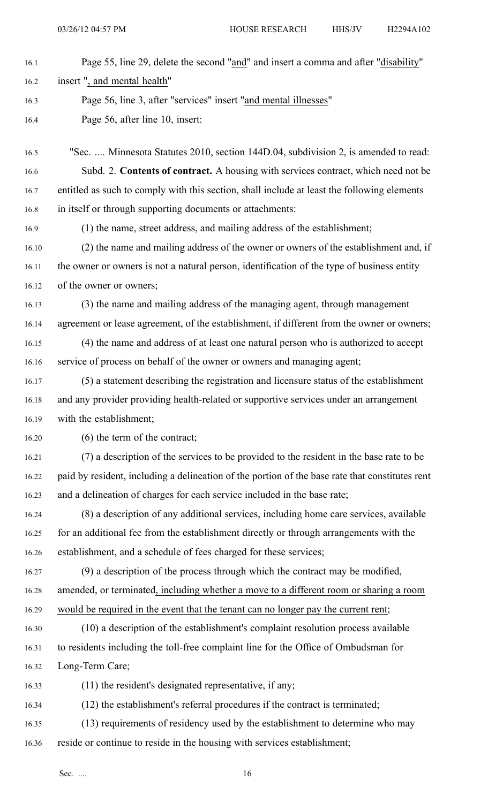| 16.1  | Page 55, line 29, delete the second "and" and insert a comma and after "disability"             |
|-------|-------------------------------------------------------------------------------------------------|
|       |                                                                                                 |
| 16.2  | insert", and mental health"                                                                     |
| 16.3  | Page 56, line 3, after "services" insert "and mental illnesses"                                 |
| 16.4  | Page 56, after line 10, insert:                                                                 |
| 16.5  | "Sec.  Minnesota Statutes 2010, section 144D.04, subdivision 2, is amended to read:             |
| 16.6  | Subd. 2. Contents of contract. A housing with services contract, which need not be              |
| 16.7  | entitled as such to comply with this section, shall include at least the following elements     |
| 16.8  | in itself or through supporting documents or attachments:                                       |
| 16.9  | (1) the name, street address, and mailing address of the establishment;                         |
| 16.10 | (2) the name and mailing address of the owner or owners of the establishment and, if            |
| 16.11 | the owner or owners is not a natural person, identification of the type of business entity      |
| 16.12 | of the owner or owners;                                                                         |
| 16.13 | (3) the name and mailing address of the managing agent, through management                      |
| 16.14 | agreement or lease agreement, of the establishment, if different from the owner or owners;      |
| 16.15 | (4) the name and address of at least one natural person who is authorized to accept             |
| 16.16 | service of process on behalf of the owner or owners and managing agent;                         |
| 16.17 | (5) a statement describing the registration and licensure status of the establishment           |
| 16.18 | and any provider providing health-related or supportive services under an arrangement           |
| 16.19 | with the establishment;                                                                         |
| 16.20 | $(6)$ the term of the contract;                                                                 |
| 16.21 | (7) a description of the services to be provided to the resident in the base rate to be         |
| 16.22 | paid by resident, including a delineation of the portion of the base rate that constitutes rent |
| 16.23 | and a delineation of charges for each service included in the base rate;                        |
| 16.24 | (8) a description of any additional services, including home care services, available           |
| 16.25 | for an additional fee from the establishment directly or through arrangements with the          |
| 16.26 | establishment, and a schedule of fees charged for these services;                               |
| 16.27 | (9) a description of the process through which the contract may be modified,                    |
| 16.28 | amended, or terminated, including whether a move to a different room or sharing a room          |
| 16.29 | would be required in the event that the tenant can no longer pay the current rent;              |
| 16.30 | (10) a description of the establishment's complaint resolution process available                |
| 16.31 | to residents including the toll-free complaint line for the Office of Ombudsman for             |
| 16.32 | Long-Term Care;                                                                                 |
| 16.33 | (11) the resident's designated representative, if any;                                          |
| 16.34 | (12) the establishment's referral procedures if the contract is terminated;                     |
| 16.35 | (13) requirements of residency used by the establishment to determine who may                   |
| 16.36 | reside or continue to reside in the housing with services establishment;                        |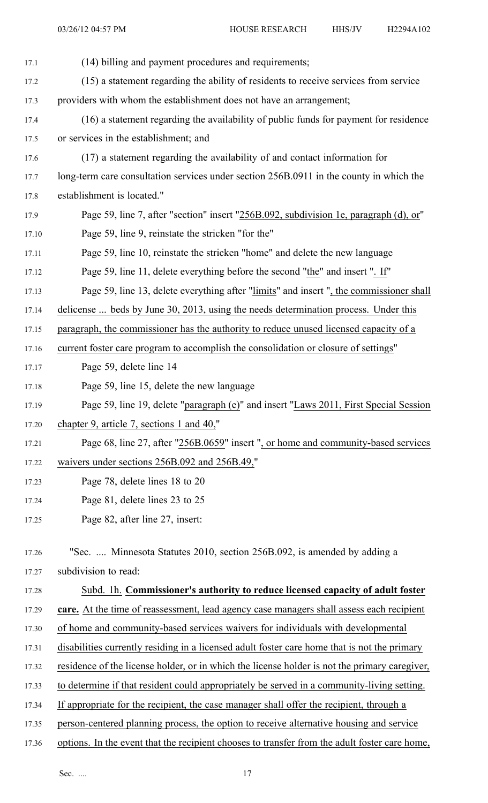| 17.1  | (14) billing and payment procedures and requirements;                                         |
|-------|-----------------------------------------------------------------------------------------------|
| 17.2  | (15) a statement regarding the ability of residents to receive services from service          |
| 17.3  | providers with whom the establishment does not have an arrangement;                           |
| 17.4  | (16) a statement regarding the availability of public funds for payment for residence         |
| 17.5  | or services in the establishment; and                                                         |
| 17.6  | (17) a statement regarding the availability of and contact information for                    |
| 17.7  | long-term care consultation services under section 256B.0911 in the county in which the       |
| 17.8  | establishment is located."                                                                    |
| 17.9  | Page 59, line 7, after "section" insert "256B.092, subdivision 1e, paragraph (d), or          |
| 17.10 | Page 59, line 9, reinstate the stricken "for the"                                             |
| 17.11 | Page 59, line 10, reinstate the stricken "home" and delete the new language                   |
| 17.12 | Page 59, line 11, delete everything before the second "the" and insert ". If"                 |
| 17.13 | Page 59, line 13, delete everything after "limits" and insert ", the commissioner shall       |
| 17.14 | delicense  beds by June 30, 2013, using the needs determination process. Under this           |
| 17.15 | paragraph, the commissioner has the authority to reduce unused licensed capacity of a         |
| 17.16 | current foster care program to accomplish the consolidation or closure of settings"           |
| 17.17 | Page 59, delete line 14                                                                       |
| 17.18 | Page 59, line 15, delete the new language                                                     |
| 17.19 | Page 59, line 19, delete "paragraph (e)" and insert "Laws 2011, First Special Session         |
| 17.20 | chapter 9, article 7, sections 1 and 40,"                                                     |
| 17.21 | Page 68, line 27, after "256B.0659" insert ", or home and community-based services            |
| 17.22 | waivers under sections 256B.092 and 256B.49,"                                                 |
| 17.23 | Page 78, delete lines 18 to 20                                                                |
| 17.24 | Page 81, delete lines 23 to 25                                                                |
| 17.25 | Page 82, after line 27, insert:                                                               |
|       |                                                                                               |
| 17.26 | "Sec.  Minnesota Statutes 2010, section 256B.092, is amended by adding a                      |
| 17.27 | subdivision to read:                                                                          |
| 17.28 | Subd. 1h. Commissioner's authority to reduce licensed capacity of adult foster                |
| 17.29 | care. At the time of reassessment, lead agency case managers shall assess each recipient      |
| 17.30 | of home and community-based services waivers for individuals with developmental               |
| 17.31 | disabilities currently residing in a licensed adult foster care home that is not the primary  |
| 17.32 | residence of the license holder, or in which the license holder is not the primary caregiver, |
| 17.33 | to determine if that resident could appropriately be served in a community-living setting.    |
| 17.34 | If appropriate for the recipient, the case manager shall offer the recipient, through a       |
| 17.35 | person-centered planning process, the option to receive alternative housing and service       |
| 17.36 | options. In the event that the recipient chooses to transfer from the adult foster care home, |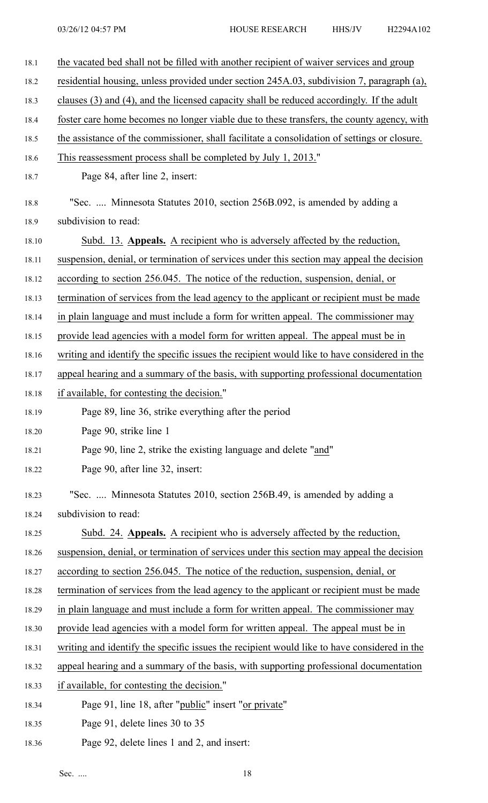| 18.1  | the vacated bed shall not be filled with another recipient of waiver services and group      |
|-------|----------------------------------------------------------------------------------------------|
| 18.2  | residential housing, unless provided under section 245A.03, subdivision 7, paragraph (a),    |
| 18.3  | clauses (3) and (4), and the licensed capacity shall be reduced accordingly. If the adult    |
| 18.4  | foster care home becomes no longer viable due to these transfers, the county agency, with    |
| 18.5  | the assistance of the commissioner, shall facilitate a consolidation of settings or closure. |
| 18.6  | This reassessment process shall be completed by July 1, 2013."                               |
| 18.7  | Page 84, after line 2, insert:                                                               |
| 18.8  | "Sec.  Minnesota Statutes 2010, section 256B.092, is amended by adding a                     |
| 18.9  | subdivision to read:                                                                         |
| 18.10 | Subd. 13. Appeals. A recipient who is adversely affected by the reduction,                   |
| 18.11 | suspension, denial, or termination of services under this section may appeal the decision    |
| 18.12 | according to section 256.045. The notice of the reduction, suspension, denial, or            |
| 18.13 | termination of services from the lead agency to the applicant or recipient must be made      |
| 18.14 | in plain language and must include a form for written appeal. The commissioner may           |
| 18.15 | provide lead agencies with a model form for written appeal. The appeal must be in            |
| 18.16 | writing and identify the specific issues the recipient would like to have considered in the  |
| 18.17 | appeal hearing and a summary of the basis, with supporting professional documentation        |
| 18.18 | if available, for contesting the decision."                                                  |
| 18.19 | Page 89, line 36, strike everything after the period                                         |
| 18.20 | Page 90, strike line 1                                                                       |
| 18.21 | Page 90, line 2, strike the existing language and delete "and"                               |
| 18.22 | Page 90, after line 32, insert:                                                              |
| 18.23 | "Sec.  Minnesota Statutes 2010, section 256B.49, is amended by adding a                      |
| 18.24 | subdivision to read:                                                                         |
| 18.25 | Subd. 24. Appeals. A recipient who is adversely affected by the reduction,                   |
| 18.26 | suspension, denial, or termination of services under this section may appeal the decision    |
| 18.27 | according to section 256.045. The notice of the reduction, suspension, denial, or            |
| 18.28 | termination of services from the lead agency to the applicant or recipient must be made      |
| 18.29 | in plain language and must include a form for written appeal. The commissioner may           |
| 18.30 | provide lead agencies with a model form for written appeal. The appeal must be in            |
| 18.31 | writing and identify the specific issues the recipient would like to have considered in the  |
| 18.32 | appeal hearing and a summary of the basis, with supporting professional documentation        |
| 18.33 | if available, for contesting the decision."                                                  |
| 18.34 | Page 91, line 18, after "public" insert "or private"                                         |
| 18.35 | Page 91, delete lines 30 to 35                                                               |
|       |                                                                                              |

18.36 Page 92, delete lines 1 and 2, and insert: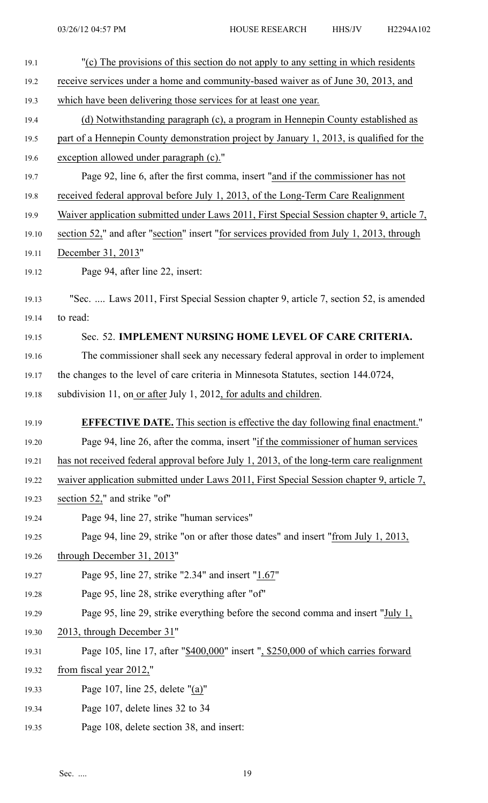| 19.1  | "(c) The provisions of this section do not apply to any setting in which residents        |
|-------|-------------------------------------------------------------------------------------------|
| 19.2  | receive services under a home and community-based waiver as of June 30, 2013, and         |
| 19.3  | which have been delivering those services for at least one year.                          |
| 19.4  | (d) Notwithstanding paragraph (c), a program in Hennepin County established as            |
| 19.5  | part of a Hennepin County demonstration project by January 1, 2013, is qualified for the  |
| 19.6  | exception allowed under paragraph (c)."                                                   |
| 19.7  | Page 92, line 6, after the first comma, insert "and if the commissioner has not           |
| 19.8  | received federal approval before July 1, 2013, of the Long-Term Care Realignment          |
| 19.9  | Waiver application submitted under Laws 2011, First Special Session chapter 9, article 7, |
| 19.10 | section 52," and after "section" insert "for services provided from July 1, 2013, through |
| 19.11 | December 31, 2013"                                                                        |
| 19.12 | Page 94, after line 22, insert:                                                           |
| 19.13 | "Sec.  Laws 2011, First Special Session chapter 9, article 7, section 52, is amended      |
| 19.14 | to read:                                                                                  |
| 19.15 | Sec. 52. IMPLEMENT NURSING HOME LEVEL OF CARE CRITERIA.                                   |
| 19.16 | The commissioner shall seek any necessary federal approval in order to implement          |
| 19.17 | the changes to the level of care criteria in Minnesota Statutes, section 144.0724,        |
| 19.18 | subdivision 11, on or after July 1, 2012, for adults and children.                        |
| 19.19 | <b>EFFECTIVE DATE.</b> This section is effective the day following final enactment."      |
| 19.20 | Page 94, line 26, after the comma, insert "if the commissioner of human services"         |
| 19.21 | has not received federal approval before July 1, 2013, of the long-term care realignment  |
| 19.22 | waiver application submitted under Laws 2011, First Special Session chapter 9, article 7, |
| 19.23 | section 52," and strike "of"                                                              |
| 19.24 | Page 94, line 27, strike "human services"                                                 |
| 19.25 | Page 94, line 29, strike "on or after those dates" and insert "from July 1, 2013,         |
| 19.26 | through December 31, 2013"                                                                |
| 19.27 | Page 95, line 27, strike "2.34" and insert "1.67"                                         |
| 19.28 | Page 95, line 28, strike everything after "of"                                            |
| 19.29 | Page 95, line 29, strike everything before the second comma and insert "July $1$ ,        |
| 19.30 | 2013, through December 31"                                                                |
| 19.31 | Page 105, line 17, after "\$400,000" insert ", \$250,000 of which carries forward         |
| 19.32 | from fiscal year 2012,"                                                                   |
| 19.33 | Page 107, line 25, delete " $(a)$ "                                                       |
| 19.34 | Page 107, delete lines 32 to 34                                                           |
| 19.35 | Page 108, delete section 38, and insert:                                                  |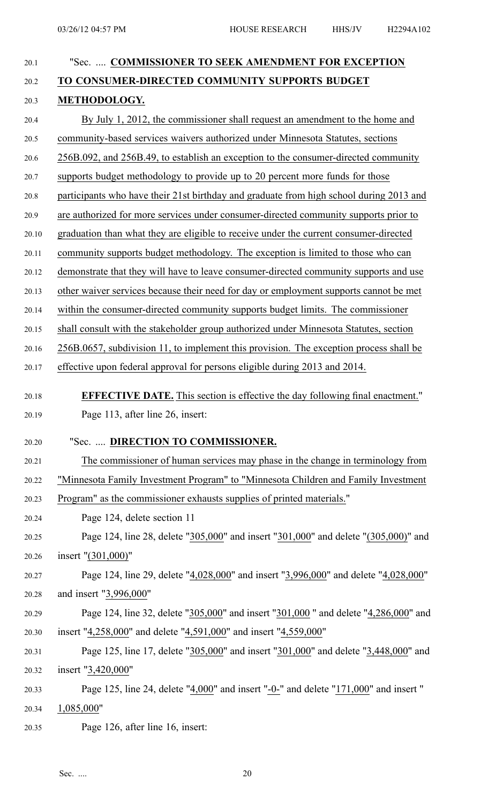| 20.1           | "Sec.  COMMISSIONER TO SEEK AMENDMENT FOR EXCEPTION                                                  |
|----------------|------------------------------------------------------------------------------------------------------|
| 20.2           | TO CONSUMER-DIRECTED COMMUNITY SUPPORTS BUDGET                                                       |
| 20.3           | METHODOLOGY.                                                                                         |
| 20.4           | By July 1, 2012, the commissioner shall request an amendment to the home and                         |
| 20.5           | community-based services waivers authorized under Minnesota Statutes, sections                       |
| 20.6           | 256B.092, and 256B.49, to establish an exception to the consumer-directed community                  |
| 20.7           | supports budget methodology to provide up to 20 percent more funds for those                         |
| 20.8           | participants who have their 21st birthday and graduate from high school during 2013 and              |
| 20.9           | are authorized for more services under consumer-directed community supports prior to                 |
| 20.10          | graduation than what they are eligible to receive under the current consumer-directed                |
| 20.11          | community supports budget methodology. The exception is limited to those who can                     |
| 20.12          | demonstrate that they will have to leave consumer-directed community supports and use                |
| 20.13          | other waiver services because their need for day or employment supports cannot be met                |
| 20.14          | within the consumer-directed community supports budget limits. The commissioner                      |
| 20.15          | shall consult with the stakeholder group authorized under Minnesota Statutes, section                |
| 20.16          | 256B.0657, subdivision 11, to implement this provision. The exception process shall be               |
| 20.17          | effective upon federal approval for persons eligible during 2013 and 2014.                           |
| 20.18          | <b>EFFECTIVE DATE.</b> This section is effective the day following final enactment."                 |
| 20.19          | Page 113, after line 26, insert:                                                                     |
|                |                                                                                                      |
| 20.20          | "Sec.  DIRECTION TO COMMISSIONER.                                                                    |
| 20.21          | The commissioner of human services may phase in the change in terminology from                       |
| 20.22          | "Minnesota Family Investment Program" to "Minnesota Children and Family Investment                   |
| 20.23          | Program" as the commissioner exhausts supplies of printed materials."<br>Page 124, delete section 11 |
| 20.24<br>20.25 | Page 124, line 28, delete "305,000" and insert "301,000" and delete "(305,000)" and                  |
| 20.26          | insert " $(301,000)$ "                                                                               |
| 20.27          | Page 124, line 29, delete "4,028,000" and insert "3,996,000" and delete "4,028,000"                  |
| 20.28          | and insert "3,996,000"                                                                               |
| 20.29          | Page 124, line 32, delete "305,000" and insert "301,000" and delete "4,286,000" and                  |
| 20.30          | insert "4,258,000" and delete "4,591,000" and insert "4,559,000"                                     |
| 20.31          | Page 125, line 17, delete "305,000" and insert "301,000" and delete "3,448,000" and                  |
| 20.32          | insert "3,420,000"                                                                                   |
| 20.33          | Page 125, line 24, delete " $4,000$ " and insert "-0-" and delete " $171,000$ " and insert "         |
| 20.34          | 1,085,000"                                                                                           |
| 20.35          | Page 126, after line 16, insert:                                                                     |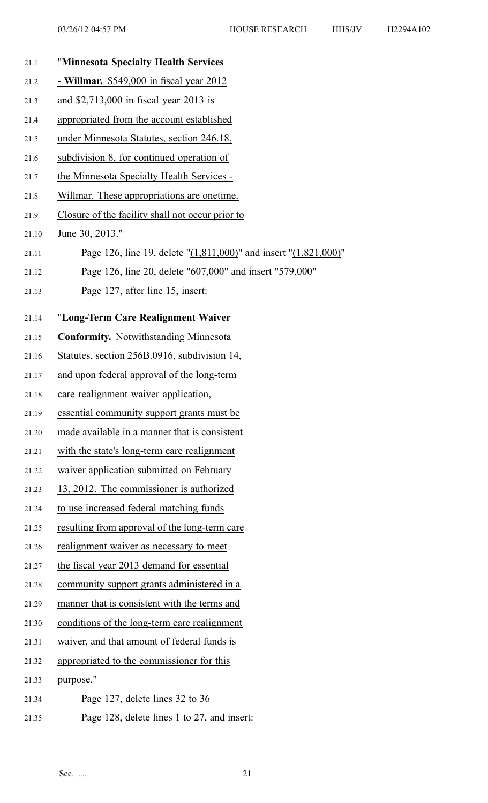| 21.1  | "Minnesota Specialty Health Services                                     |
|-------|--------------------------------------------------------------------------|
| 21.2  | - Willmar. $$549,000$ in fiscal year $2012$                              |
| 21.3  | and \$2,713,000 in fiscal year 2013 is                                   |
| 21.4  | appropriated from the account established                                |
| 21.5  | under Minnesota Statutes, section 246.18,                                |
| 21.6  | subdivision 8, for continued operation of                                |
| 21.7  | the Minnesota Specialty Health Services -                                |
| 21.8  | Willmar. These appropriations are onetime.                               |
| 21.9  | Closure of the facility shall not occur prior to                         |
| 21.10 | June 30, 2013."                                                          |
| 21.11 | Page 126, line 19, delete " $(1,811,000)$ " and insert " $(1,821,000)$ " |
| 21.12 | Page 126, line 20, delete "607,000" and insert "579,000"                 |
| 21.13 | Page 127, after line 15, insert:                                         |
| 21.14 | "Long-Term Care Realignment Waiver                                       |
| 21.15 | <b>Conformity.</b> Notwithstanding Minnesota                             |
| 21.16 | Statutes, section 256B.0916, subdivision 14,                             |
| 21.17 | and upon federal approval of the long-term                               |
| 21.18 | care realignment waiver application,                                     |
| 21.19 | essential community support grants must be                               |
| 21.20 | made available in a manner that is consistent                            |
| 21.21 | with the state's long-term care realignment                              |
| 21.22 | waiver application submitted on February                                 |
| 21.23 | 13, 2012. The commissioner is authorized                                 |
| 21.24 | to use increased federal matching funds                                  |
| 21.25 | resulting from approval of the long-term care                            |
| 21.26 | realignment waiver as necessary to meet                                  |
| 21.27 | the fiscal year 2013 demand for essential                                |
| 21.28 | community support grants administered in a                               |
| 21.29 | manner that is consistent with the terms and                             |
| 21.30 | conditions of the long-term care realignment                             |
| 21.31 | waiver, and that amount of federal funds is                              |
| 21.32 | appropriated to the commissioner for this                                |
| 21.33 | purpose."                                                                |
| 21.34 | Page 127, delete lines 32 to 36                                          |
| 21.35 | Page 128, delete lines 1 to 27, and insert:                              |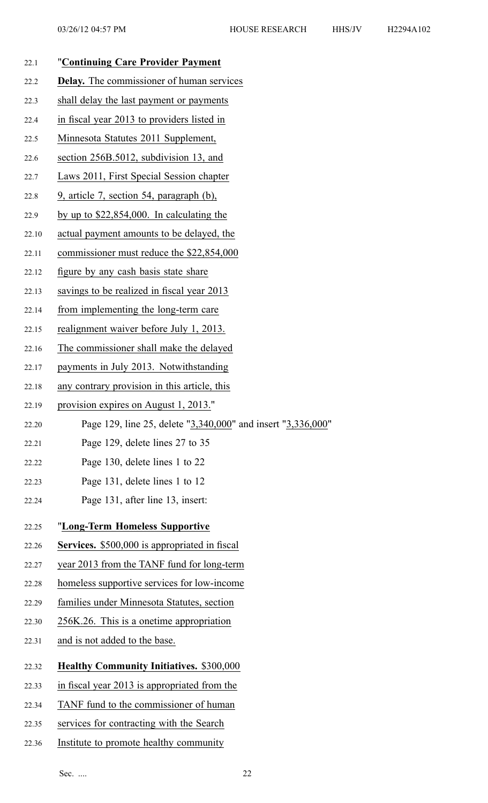| 22.1  | "Continuing Care Provider Payment                            |
|-------|--------------------------------------------------------------|
| 22.2  | <b>Delay.</b> The commissioner of human services             |
| 22.3  | shall delay the last payment or payments                     |
| 22.4  | in fiscal year 2013 to providers listed in                   |
| 22.5  | Minnesota Statutes 2011 Supplement,                          |
| 22.6  | section 256B.5012, subdivision 13, and                       |
| 22.7  | Laws 2011, First Special Session chapter                     |
| 22.8  | 9, article 7, section 54, paragraph (b),                     |
| 22.9  | by up to $$22,854,000$ . In calculating the                  |
| 22.10 | actual payment amounts to be delayed, the                    |
| 22.11 | commissioner must reduce the \$22,854,000                    |
| 22.12 | figure by any cash basis state share                         |
| 22.13 | savings to be realized in fiscal year 2013                   |
| 22.14 | from implementing the long-term care                         |
| 22.15 | realignment waiver before July 1, 2013.                      |
| 22.16 | The commissioner shall make the delayed                      |
| 22.17 | payments in July 2013. Notwithstanding                       |
| 22.18 | any contrary provision in this article, this                 |
| 22.19 | provision expires on August 1, 2013."                        |
| 22.20 | Page 129, line 25, delete "3,340,000" and insert "3,336,000" |
| 22.21 | Page 129, delete lines 27 to 35                              |
| 22.22 | Page 130, delete lines 1 to 22                               |
| 22.23 | Page 131, delete lines 1 to 12                               |
| 22.24 | Page 131, after line 13, insert:                             |
| 22.25 | "Long-Term Homeless Supportive                               |
| 22.26 | <b>Services.</b> \$500,000 is appropriated in fiscal         |
| 22.27 | year 2013 from the TANF fund for long-term                   |

- 22.28 homeless supportive services for low-income
- 22.29 families under Minnesota Statutes, section
- 22.30 256K.26. This is <sup>a</sup> onetime appropriation
- 22.31 and is not added to the base.
- 22.32 **Healthy Community Initiatives.** \$300,000
- 22.33 in fiscal year 2013 is appropriated from the
- 22.34 TANF fund to the commissioner of human
- 22.35 services for contracting with the Search
- 22.36 Institute to promote healthy community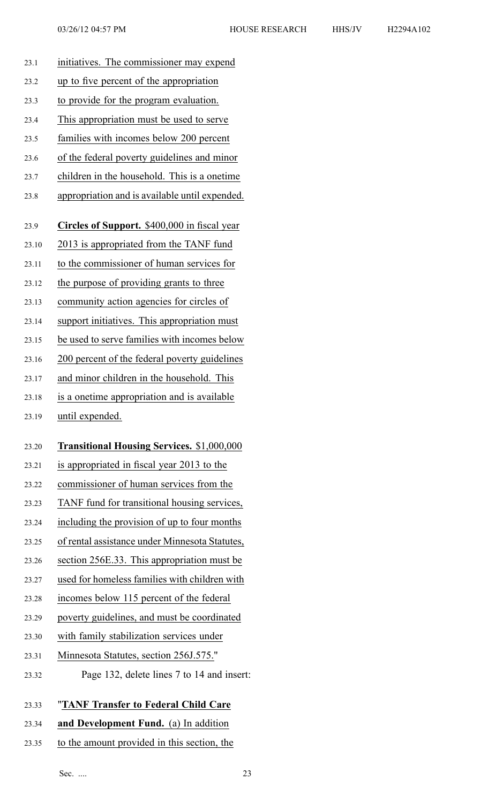| 23.1  | initiatives. The commissioner may expend            |
|-------|-----------------------------------------------------|
| 23.2  | up to five percent of the appropriation             |
| 23.3  | to provide for the program evaluation.              |
| 23.4  | This appropriation must be used to serve            |
| 23.5  | families with incomes below 200 percent             |
| 23.6  | of the federal poverty guidelines and minor         |
| 23.7  | children in the household. This is a onetime        |
| 23.8  | appropriation and is available until expended.      |
|       |                                                     |
| 23.9  | <b>Circles of Support.</b> \$400,000 in fiscal year |
| 23.10 | 2013 is appropriated from the TANF fund             |
| 23.11 | to the commissioner of human services for           |
| 23.12 | the purpose of providing grants to three            |
| 23.13 | community action agencies for circles of            |
| 23.14 | support initiatives. This appropriation must        |
| 23.15 | be used to serve families with incomes below        |
| 23.16 | 200 percent of the federal poverty guidelines       |
| 23.17 | and minor children in the household. This           |
| 23.18 | is a onetime appropriation and is available         |
| 23.19 | until expended.                                     |
| 23.20 | <b>Transitional Housing Services. \$1,000,000</b>   |
|       |                                                     |
| 23.21 | is appropriated in fiscal year 2013 to the          |
| 23.22 | commissioner of human services from the             |
| 23.23 | TANF fund for transitional housing services,        |
| 23.24 | including the provision of up to four months        |
| 23.25 | of rental assistance under Minnesota Statutes,      |
| 23.26 | section 256E.33. This appropriation must be         |
| 23.27 | used for homeless families with children with       |
| 23.28 | incomes below 115 percent of the federal            |
| 23.29 | poverty guidelines, and must be coordinated         |
| 23.30 | with family stabilization services under            |
| 23.31 | Minnesota Statutes, section 256J.575."              |
| 23.32 | Page 132, delete lines 7 to 14 and insert:          |
| 23.33 | "TANF Transfer to Federal Child Care                |
|       |                                                     |
| 23.34 | and Development Fund. (a) In addition               |

23.35 to the amount provided in this section, the